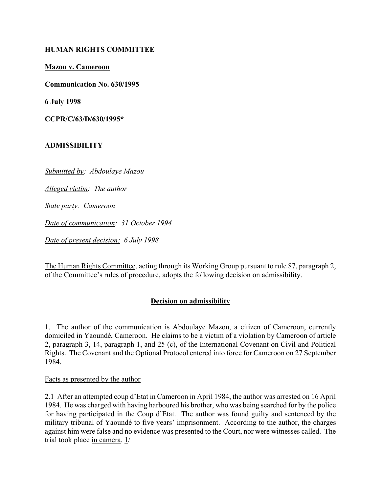## **HUMAN RIGHTS COMMITTEE**

#### **Mazou v. Cameroon**

**Communication No. 630/1995**

**6 July 1998**

**CCPR/C/63/D/630/1995\***

### **ADMISSIBILITY**

*Submitted by: Abdoulaye Mazou*

*Alleged victim: The author*

*State party: Cameroon*

*Date of communication: 31 October 1994*

*Date of present decision: 6 July 1998*

The Human Rights Committee, acting through its Working Group pursuant to rule 87, paragraph 2, of the Committee's rules of procedure, adopts the following decision on admissibility.

## **Decision on admissibility**

1. The author of the communication is Abdoulaye Mazou, a citizen of Cameroon, currently domiciled in Yaoundé, Cameroon. He claims to be a victim of a violation by Cameroon of article 2, paragraph 3, 14, paragraph 1, and 25 (c), of the International Covenant on Civil and Political Rights. The Covenant and the Optional Protocol entered into force for Cameroon on 27 September 1984.

#### Facts as presented by the author

2.1 After an attempted coup d'Etat in Cameroon in April 1984, the author was arrested on 16 April 1984. He was charged with having harboured his brother, who was being searched for by the police for having participated in the Coup d'Etat. The author was found guilty and sentenced by the military tribunal of Yaoundé to five years' imprisonment. According to the author, the charges against him were false and no evidence was presented to the Court, nor were witnesses called. The trial took place in camera. 1/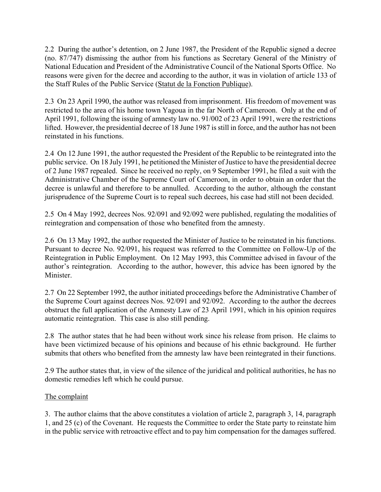2.2 During the author's detention, on 2 June 1987, the President of the Republic signed a decree (no. 87/747) dismissing the author from his functions as Secretary General of the Ministry of National Education and President of the Administrative Council of the National Sports Office. No reasons were given for the decree and according to the author, it was in violation of article 133 of the Staff Rules of the Public Service (Statut de la Fonction Publique).

2.3 On 23 April 1990, the author was released from imprisonment. His freedom of movement was restricted to the area of his home town Yagoua in the far North of Cameroon. Only at the end of April 1991, following the issuing of amnesty law no. 91/002 of 23 April 1991, were the restrictions lifted. However, the presidential decree of 18 June 1987 is still in force, and the author has not been reinstated in his functions.

2.4 On 12 June 1991, the author requested the President of the Republic to be reintegrated into the public service. On 18 July 1991, he petitioned the Minister of Justice to have the presidential decree of 2 June 1987 repealed. Since he received no reply, on 9 September 1991, he filed a suit with the Administrative Chamber of the Supreme Court of Cameroon, in order to obtain an order that the decree is unlawful and therefore to be annulled. According to the author, although the constant jurisprudence of the Supreme Court is to repeal such decrees, his case had still not been decided.

2.5 On 4 May 1992, decrees Nos. 92/091 and 92/092 were published, regulating the modalities of reintegration and compensation of those who benefited from the amnesty.

2.6 On 13 May 1992, the author requested the Minister of Justice to be reinstated in his functions. Pursuant to decree No. 92/091, his request was referred to the Committee on Follow-Up of the Reintegration in Public Employment. On 12 May 1993, this Committee advised in favour of the author's reintegration. According to the author, however, this advice has been ignored by the Minister.

2.7 On 22 September 1992, the author initiated proceedings before the Administrative Chamber of the Supreme Court against decrees Nos. 92/091 and 92/092. According to the author the decrees obstruct the full application of the Amnesty Law of 23 April 1991, which in his opinion requires automatic reintegration. This case is also still pending.

2.8 The author states that he had been without work since his release from prison. He claims to have been victimized because of his opinions and because of his ethnic background. He further submits that others who benefited from the amnesty law have been reintegrated in their functions.

2.9 The author states that, in view of the silence of the juridical and political authorities, he has no domestic remedies left which he could pursue.

# The complaint

3. The author claims that the above constitutes a violation of article 2, paragraph 3, 14, paragraph 1, and 25 (c) of the Covenant. He requests the Committee to order the State party to reinstate him in the public service with retroactive effect and to pay him compensation for the damages suffered.